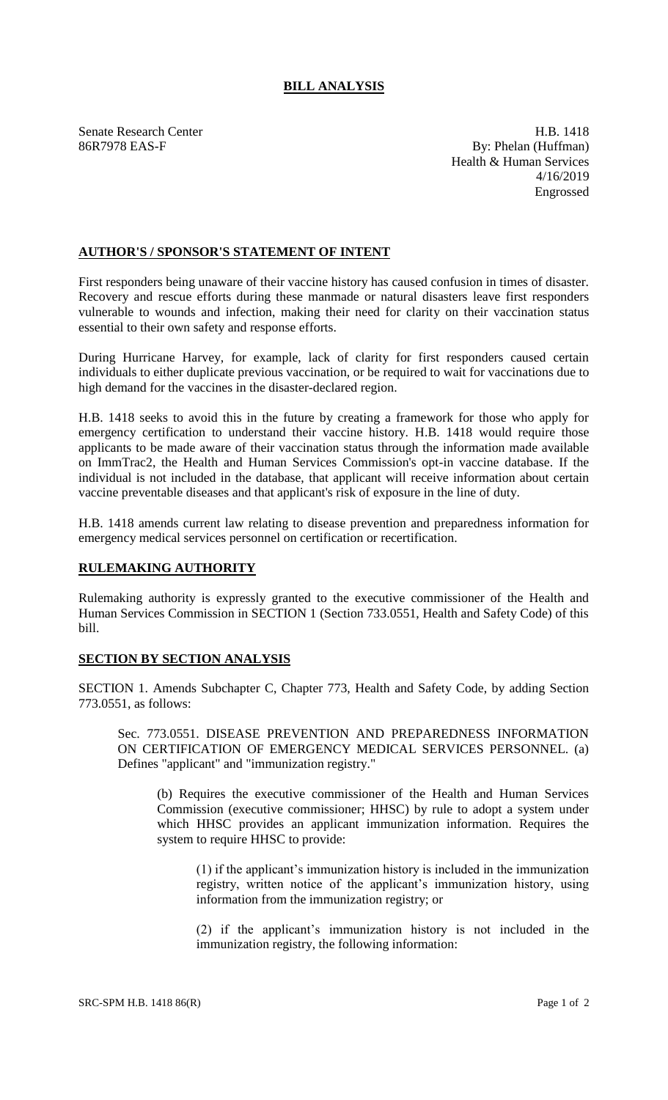## **BILL ANALYSIS**

Senate Research Center **H.B.** 1418 86R7978 EAS-F By: Phelan (Huffman) Health & Human Services 4/16/2019 Engrossed

## **AUTHOR'S / SPONSOR'S STATEMENT OF INTENT**

First responders being unaware of their vaccine history has caused confusion in times of disaster. Recovery and rescue efforts during these manmade or natural disasters leave first responders vulnerable to wounds and infection, making their need for clarity on their vaccination status essential to their own safety and response efforts.

During Hurricane Harvey, for example, lack of clarity for first responders caused certain individuals to either duplicate previous vaccination, or be required to wait for vaccinations due to high demand for the vaccines in the disaster-declared region.

H.B. 1418 seeks to avoid this in the future by creating a framework for those who apply for emergency certification to understand their vaccine history. H.B. 1418 would require those applicants to be made aware of their vaccination status through the information made available on ImmTrac2, the Health and Human Services Commission's opt-in vaccine database. If the individual is not included in the database, that applicant will receive information about certain vaccine preventable diseases and that applicant's risk of exposure in the line of duty.

H.B. 1418 amends current law relating to disease prevention and preparedness information for emergency medical services personnel on certification or recertification.

## **RULEMAKING AUTHORITY**

Rulemaking authority is expressly granted to the executive commissioner of the Health and Human Services Commission in SECTION 1 (Section 733.0551, Health and Safety Code) of this bill.

## **SECTION BY SECTION ANALYSIS**

SECTION 1. Amends Subchapter C, Chapter 773, Health and Safety Code, by adding Section 773.0551, as follows:

Sec. 773.0551. DISEASE PREVENTION AND PREPAREDNESS INFORMATION ON CERTIFICATION OF EMERGENCY MEDICAL SERVICES PERSONNEL. (a) Defines "applicant" and "immunization registry."

(b) Requires the executive commissioner of the Health and Human Services Commission (executive commissioner; HHSC) by rule to adopt a system under which HHSC provides an applicant immunization information. Requires the system to require HHSC to provide:

(1) if the applicant's immunization history is included in the immunization registry, written notice of the applicant's immunization history, using information from the immunization registry; or

(2) if the applicant's immunization history is not included in the immunization registry, the following information: